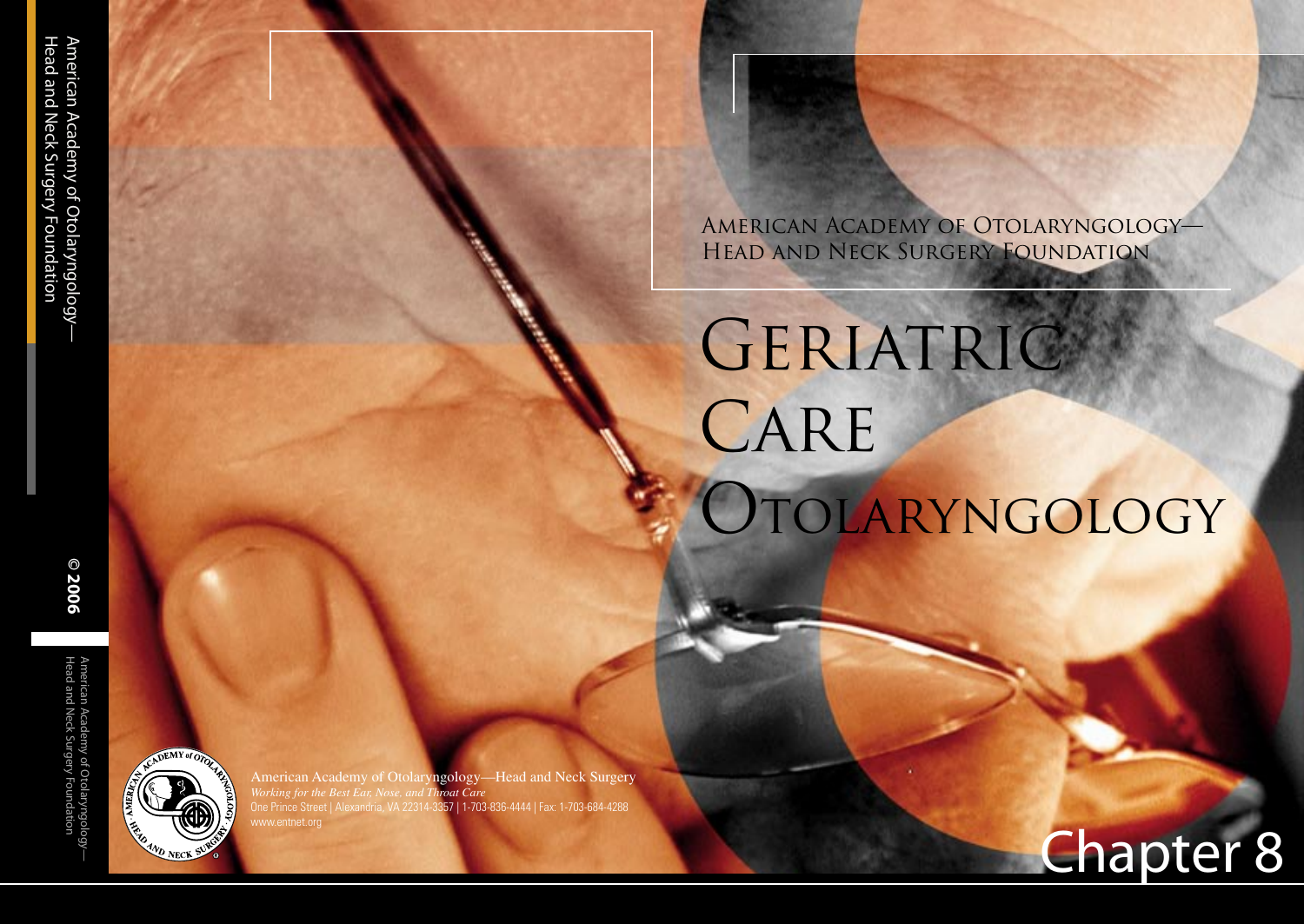American Academy of Otolaryngology— Head and Neck Surgery Foundation

# GERIATRIC CARE Otolaryngology

Geriatric Polypharmacy in Otolaryngology

Chapter 8



American Academy of Otolaryngology—Head and Neck Surgery *Working for the Best Ear, Nose, and Throat Care* One Prince Street | Alexandria, VA 22314-3357 | 1-703-836-4444 | Fax: 1-703-684-4288 www.entnet.org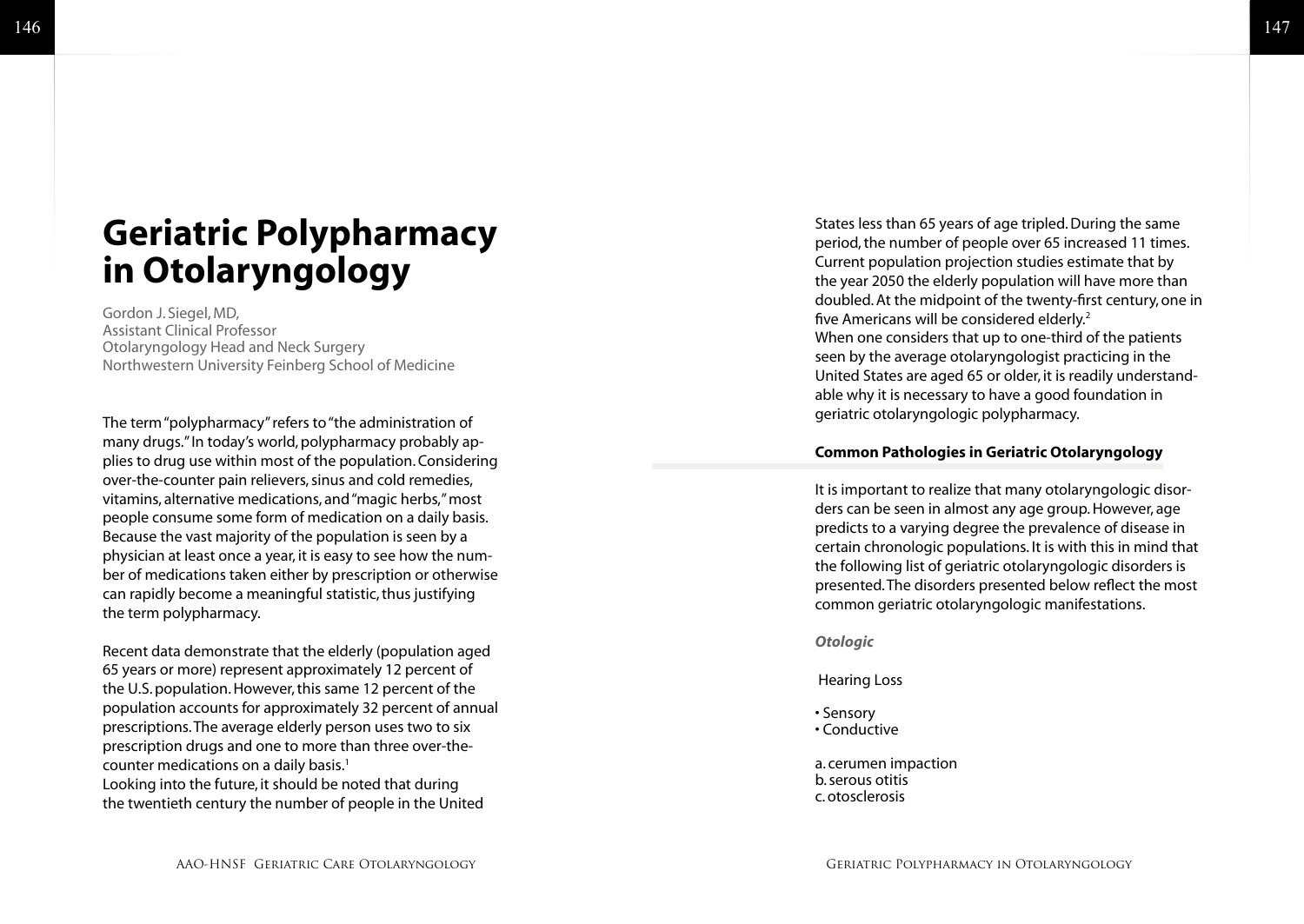# **Geriatric Polypharmacy in Otolaryngology**

Gordon J. Siegel, MD, Assistant Clinical Professor Otolaryngology Head and Neck Surgery Northwestern University Feinberg School of Medicine

The term "polypharmacy" refers to "the administration of many drugs." In today's world, polypharmacy probably ap plies to drug use within most of the population. Considering over-the-counter pain relievers, sinus and cold remedies, vitamins, alternative medications, and "magic herbs," most people consume some form of medication on a daily basis. Because the vast majority of the population is seen by a physician at least once a year, it is easy to see how the num ber of medications taken either by prescription or otherwise can rapidly become a meaningful statistic, thus justifying the term polypharmacy.

Recent data demonstrate that the elderly (population aged 65 years or more) represent approximately 12 percent of the U.S. population. However, this same 12 percent of the population accounts for approximately 32 percent of annual prescriptions. The average elderly person uses two to six prescription drugs and one to more than three over-thecounter medications on a daily basis.<sup>1</sup> Looking into the future, it should be noted that during the twentieth century the number of people in the United

States less than 65 years of age tripled. During the same period, the number of people over 65 increased 11 times. Current population projection studies estimate that by the year 2050 the elderly population will have more than doubled. At the midpoint of the twenty-first century, one in five Americans will be considered elderly. 2 When one considers that up to one-third of the patients seen by the average otolaryngologist practicing in the United States are aged 65 or older, it is readily understand able why it is necessary to have a good foundation in geriatric otolaryngologic polypharmacy.

#### **Common Pathologies in Geriatric Otolaryngology**

It is important to realize that many otolaryngologic disor ders can be seen in almost any age group. However, age predicts to a varying degree the prevalence of disease in certain chronologic populations. It is with this in mind that the following list of geriatric otolaryngologic disorders is presented. The disorders presented below reflect the most common geriatric otolaryngologic manifestations.

*Otologic*

Hearing Loss

• Sensory • Conductive

a. cerumen impaction b. serous otitis c. otosclerosis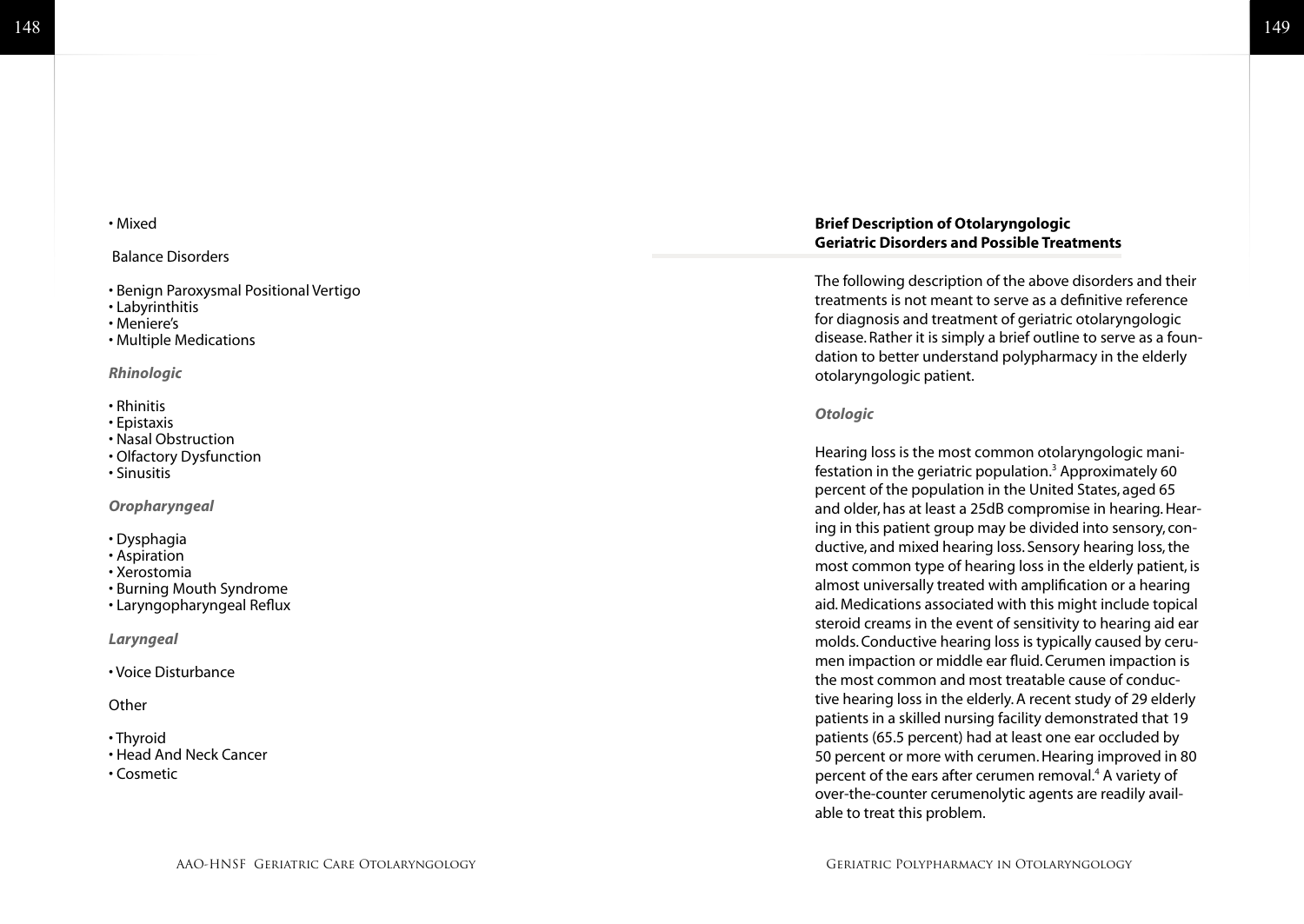#### • Mixed

#### Balance Disorders

- Benign Paroxysmal Positional Vertigo
- Labyrinthitis
- Meniere's
- Multiple Medications

#### *Rhinologic*

#### • Rhinitis

- Epistaxis
- Nasal Obstruction
- Olfactory Dysfunction
- Sinusitis

#### *Oropharyngeal*

- Dysphagia
- Aspiration
- Xerostomia
- Burning Mouth Syndrome
- Laryngopharyngeal Reflux

#### *Laryngeal*

• Voice Disturbance

#### **Other**

- Thyroid
- Head And Neck Cancer
- Cosmetic

#### **Brief Description of Otolaryngologic Geriatric Disorders and Possible Treatments**

The following description of the above disorders and their treatments is not meant to serve as a definitive reference for diagnosis and treatment of geriatric otolaryngologic disease. Rather it is simply a brief outline to serve as a foun dation to better understand polypharmacy in the elderly otolaryngologic patient.

#### *Otologic*

Hearing loss is the most common otolaryngologic mani festation in the geriatric population. 3 Approximately 60 percent of the population in the United States, aged 65 and older, has at least a 25dB compromise in hearing. Hear ing in this patient group may be divided into sensory, con ductive, and mixed hearing loss. Sensory hearing loss, the most common type of hearing loss in the elderly patient, is almost universally treated with amplification or a hearing aid. Medications associated with this might include topical steroid creams in the event of sensitivity to hearing aid ear molds. Conductive hearing loss is typically caused by ceru men impaction or middle ear fluid. Cerumen impaction is the most common and most treatable cause of conduc tive hearing loss in the elderly. A recent study of 29 elderly patients in a skilled nursing facility demonstrated that 19 patients (65.5 percent) had at least one ear occluded by 50 percent or more with cerumen. Hearing improved in 80 percent of the ears after cerumen removal.<sup>4</sup> A variety of over-the-counter cerumenolytic agents are readily avail able to treat this problem.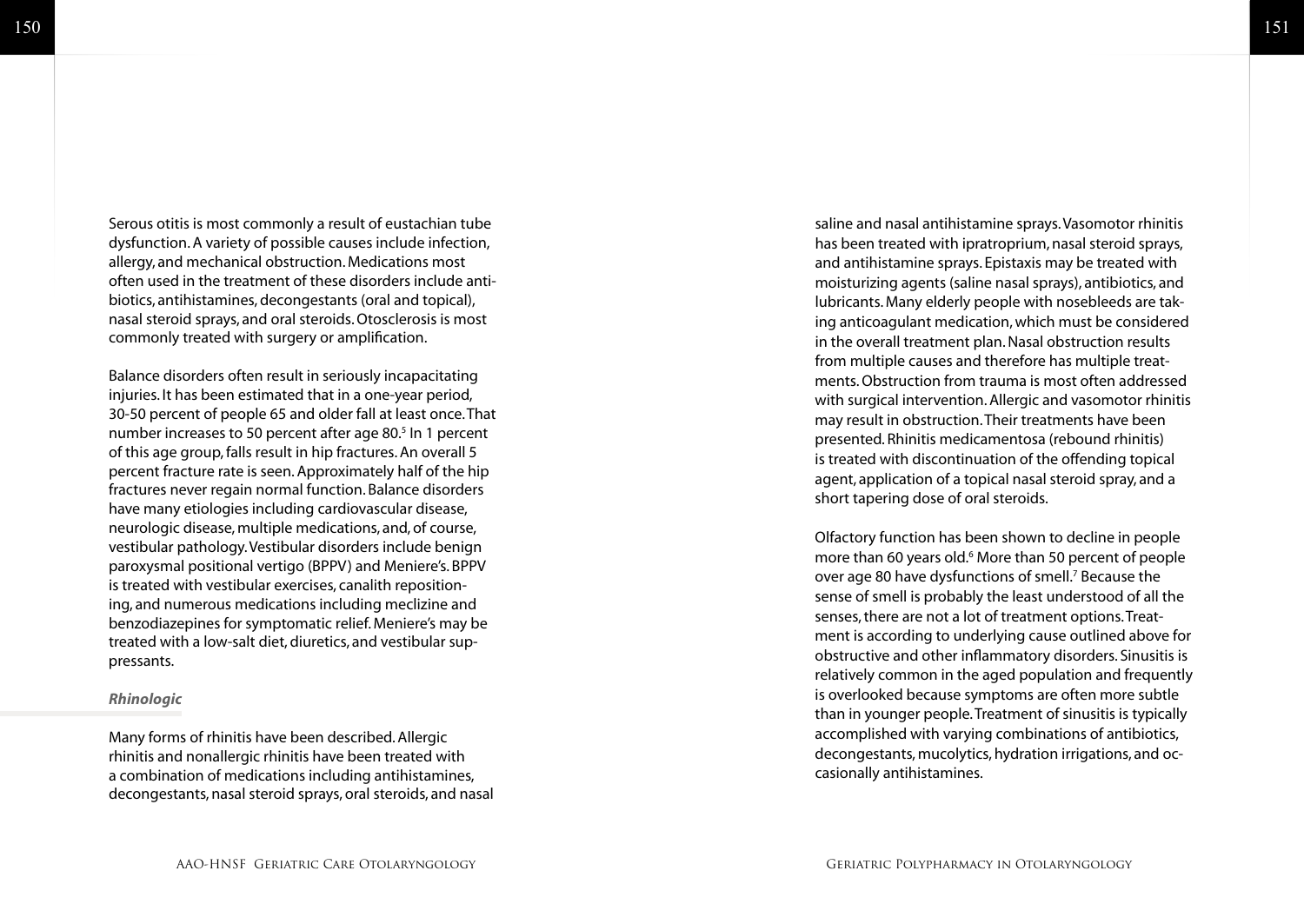Serous otitis is most commonly a result of eustachian tube dysfunction. A variety of possible causes include infection, allergy, and mechanical obstruction. Medications most often used in the treatment of these disorders include anti biotics, antihistamines, decongestants (oral and topical), nasal steroid sprays, and oral steroids. Otosclerosis is most commonly treated with surgery or amplification.

Balance disorders often result in seriously incapacitating injuries. It has been estimated that in a one-year period, 30-50 percent of people 65 and older fall at least once. That number increases to 50 percent after age 80.<sup>5</sup> In 1 percent of this age group, falls result in hip fractures. An overall 5 percent fracture rate is seen. Approximately half of the hip fractures never regain normal function. Balance disorders have many etiologies including cardiovascular disease, neurologic disease, multiple medications, and, of course, vestibular pathology. Vestibular disorders include benign paroxysmal positional vertigo (BPPV) and Meniere's. BPPV is treated with vestibular exercises, canalith reposition ing, and numerous medications including meclizine and benzodiazepines for symptomatic relief. Meniere's may be treated with a low-salt diet, diuretics, and vestibular sup pressants.

#### *Rhinologic*

Many forms of rhinitis have been described. Allergic rhinitis and nonallergic rhinitis have been treated with a combination of medications including antihistamines, decongestants, nasal steroid sprays, oral steroids, and nasal

saline and nasal antihistamine sprays. Vasomotor rhinitis has been treated with ipratroprium, nasal steroid sprays, and antihistamine sprays. Epistaxis may be treated with moisturizing agents (saline nasal sprays), antibiotics, and lubricants. Many elderly people with nosebleeds are tak ing anticoagulant medication, which must be considered in the overall treatment plan. Nasal obstruction results from multiple causes and therefore has multiple treat ments. Obstruction from trauma is most often addressed with surgical intervention. Allergic and vasomotor rhinitis may result in obstruction. Their treatments have been presented. Rhinitis medicamentosa (rebound rhinitis) is treated with discontinuation of the offending topical agent, application of a topical nasal steroid spray, and a short tapering dose of oral steroids.

Olfactory function has been shown to decline in people more than 60 years old. 6 More than 50 percent of people over age 80 have dysfunctions of smell. 7 Because the sense of smell is probably the least understood of all the senses, there are not a lot of treatment options. Treat ment is according to underlying cause outlined above for obstructive and other inflammatory disorders. Sinusitis is relatively common in the aged population and frequently is overlooked because symptoms are often more subtle than in younger people. Treatment of sinusitis is typically accomplished with varying combinations of antibiotics, decongestants, mucolytics, hydration irrigations, and oc casionally antihistamines.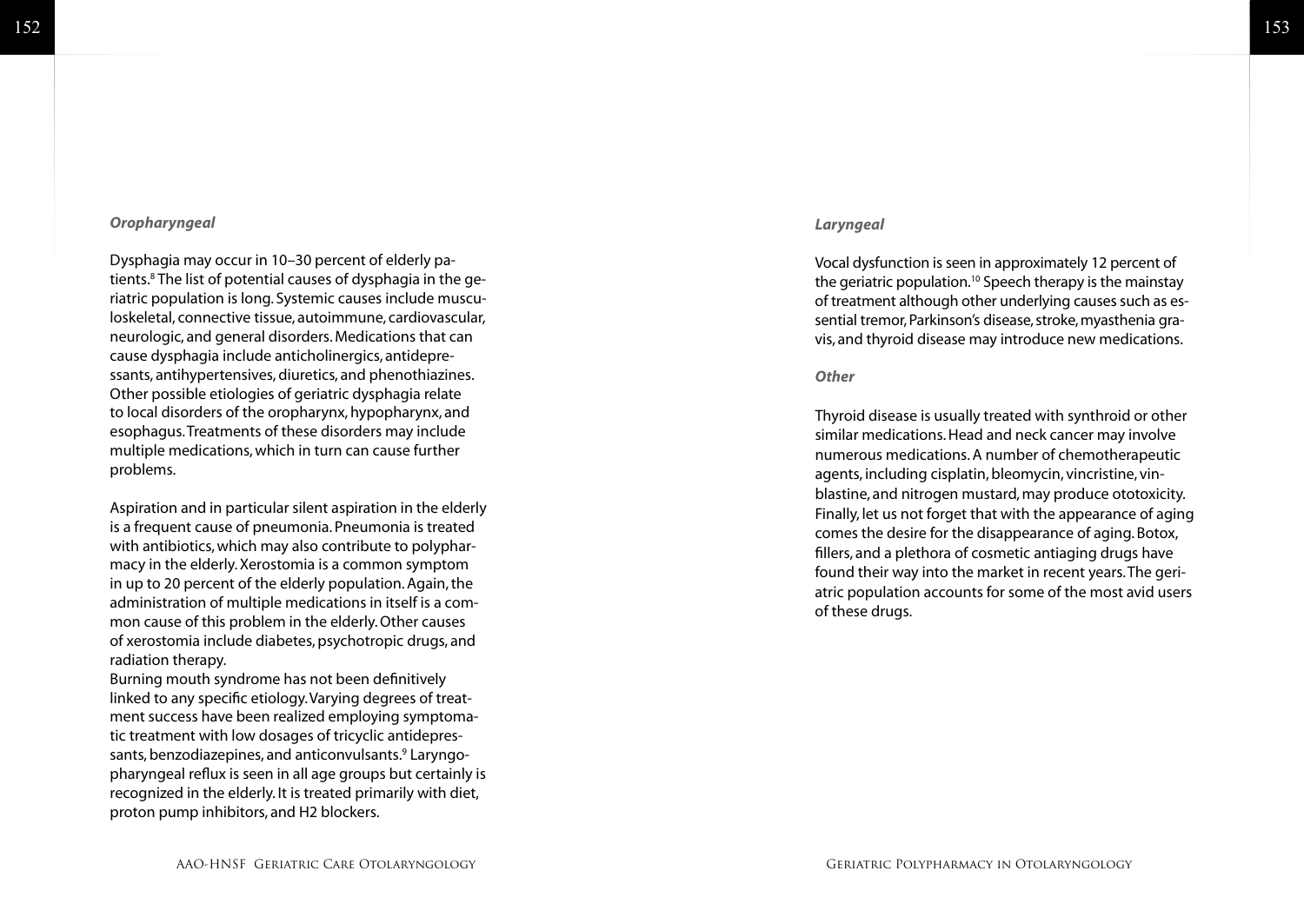#### 153

#### *Oropharyngeal*

Dysphagia may occur in 10–30 percent of elderly pa tients.<sup>8</sup> The list of potential causes of dysphagia in the geriatric population is long. Systemic causes include muscu loskeletal, connective tissue, autoimmune, cardiovascular, neurologic, and general disorders. Medications that can cause dysphagia include anticholinergics, antidepressants, antihypertensives, diuretics, and phenothiazines. Other possible etiologies of geriatric dysphagia relate to local disorders of the oropharynx, hypopharynx, and esophagus. Treatments of these disorders may include multiple medications, which in turn can cause further problems.

Aspiration and in particular silent aspiration in the elderly is a frequent cause of pneumonia. Pneumonia is treated with antibiotics, which may also contribute to polyphar macy in the elderly. Xerostomia is a common symptom in up to 20 percent of the elderly population. Again, the administration of multiple medications in itself is a com mon cause of this problem in the elderly. Other causes of xerostomia include diabetes, psychotropic drugs, and radiation therapy.

Burning mouth syndrome has not been definitively linked to any specific etiology. Varying degrees of treat ment success have been realized employing symptomatic treatment with low dosages of tricyclic antidepressants, benzodiazepines, and anticonvulsants.<sup>9</sup> Laryngopharyngeal reflux is seen in all age groups but certainly is recognized in the elderly. It is treated primarily with diet, proton pump inhibitors, and H2 blockers.

#### *Laryngeal*

Vocal dysfunction is seen in approximately 12 percent of the geriatric population.<sup>10</sup> Speech therapy is the mainstay of treatment although other underlying causes such as es sential tremor, Parkinson's disease, stroke, myasthenia gra vis, and thyroid disease may introduce new medications.

#### *Other*

Thyroid disease is usually treated with synthroid or other similar medications. Head and neck cancer may involve numerous medications. A number of chemotherapeutic agents, including cisplatin, bleomycin, vincristine, vin blastine, and nitrogen mustard, may produce ototoxicity. Finally, let us not forget that with the appearance of aging comes the desire for the disappearance of aging. Botox, fillers, and a plethora of cosmetic antiaging drugs have found their way into the market in recent years. The geri atric population accounts for some of the most avid users of these drugs.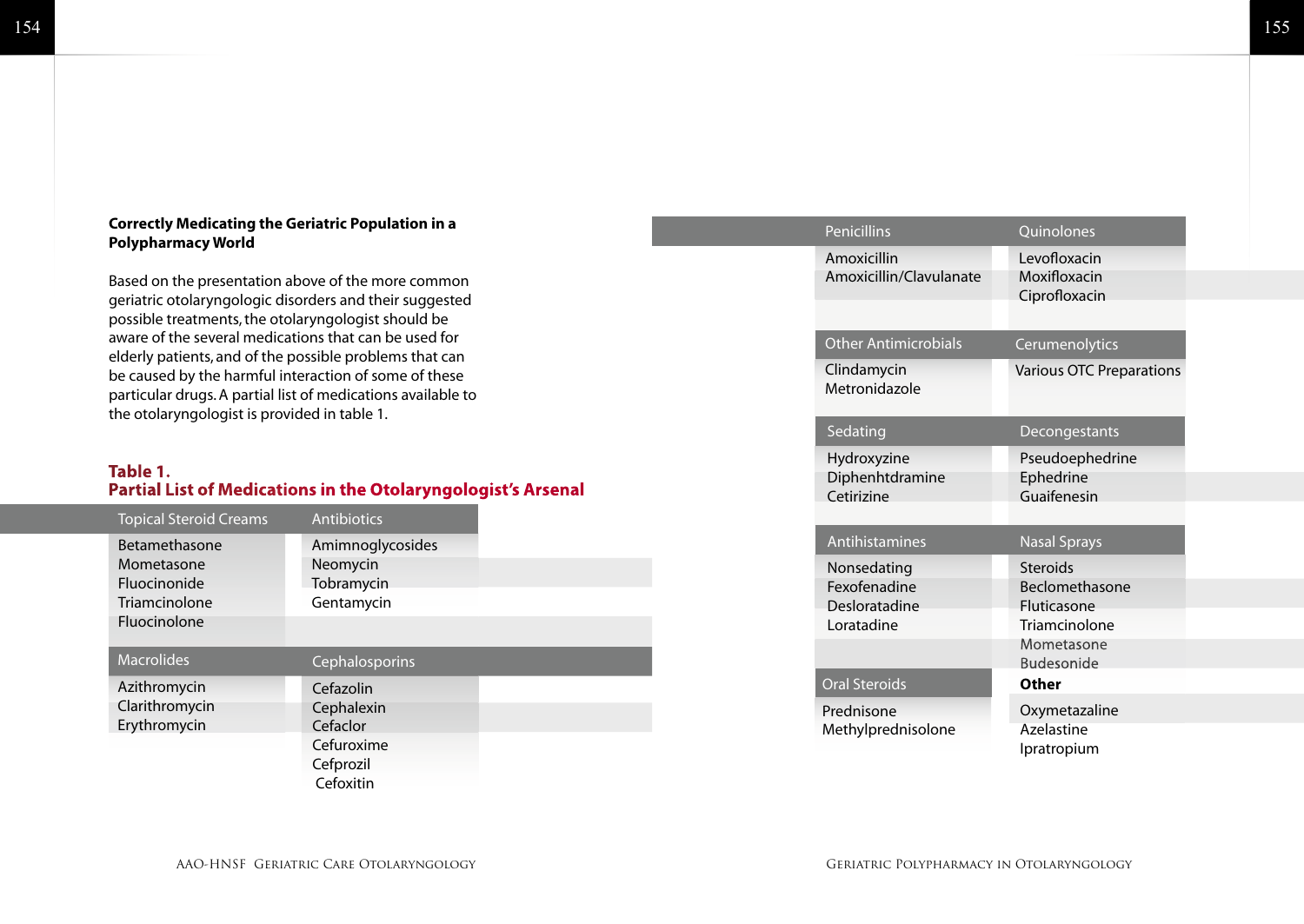#### **Correctly Medicating the Geriatric Population in a Polypharmacy World**

Based on the presentation above of the more common geriatric otolaryngologic disorders and their suggested possible treatments, the otolaryngologist should be aware of the several medications that can be used for elderly patients, and of the possible problems that can be caused by the harmful interaction of some of these particular drugs. A partial list of medications available to the otolaryngologist is provided in table 1.

#### **Table 1. Partial List of Medications in the Otolaryngologist's Arsenal**

| <b>Topical Steroid Creams</b>                                                              | Antibiotics                                                    |  |
|--------------------------------------------------------------------------------------------|----------------------------------------------------------------|--|
| Betamethasone<br>Mometasone<br><b>Fluocinonide</b><br>Triamcinolone<br><b>Fluocinolone</b> | Amimnoglycosides<br>Neomycin<br>Tobramycin<br>Gentamycin       |  |
| <b>Macrolides</b>                                                                          | Cephalosporins                                                 |  |
| Azithromycin<br>Clarithromycin<br>Erythromycin                                             | Cefazolin<br>Cephalexin<br>Cefaclor<br>Cefuroxime<br>Cefprozil |  |
|                                                                                            |                                                                |  |

| <b>Penicillins</b>                                         | Quinolones                                                                                           |
|------------------------------------------------------------|------------------------------------------------------------------------------------------------------|
| Amoxicillin<br>Amoxicillin/Clavulanate                     | Levofloxacin<br>Moxifloxacin<br>Ciprofloxacin                                                        |
| <b>Other Antimicrobials</b>                                | Cerumenolytics                                                                                       |
| Clindamycin<br>Metronidazole                               | <b>Various OTC Preparations</b>                                                                      |
| Sedating                                                   | Decongestants                                                                                        |
| Hydroxyzine<br>Diphenhtdramine<br>Cetirizine               | Pseudoephedrine<br>Ephedrine<br>Guaifenesin                                                          |
| Antihistamines                                             | <b>Nasal Sprays</b>                                                                                  |
| Nonsedating<br>Fexofenadine<br>Desloratadine<br>Loratadine | Steroids<br><b>Beclomethasone</b><br>Fluticasone<br>Triamcinolone<br>Mometasone<br><b>Budesonide</b> |
| <b>Oral Steroids</b>                                       | <b>Other</b>                                                                                         |
| Prednisone<br>Methylprednisolone                           | Oxymetazaline<br>Azelastine<br>Ipratropium                                                           |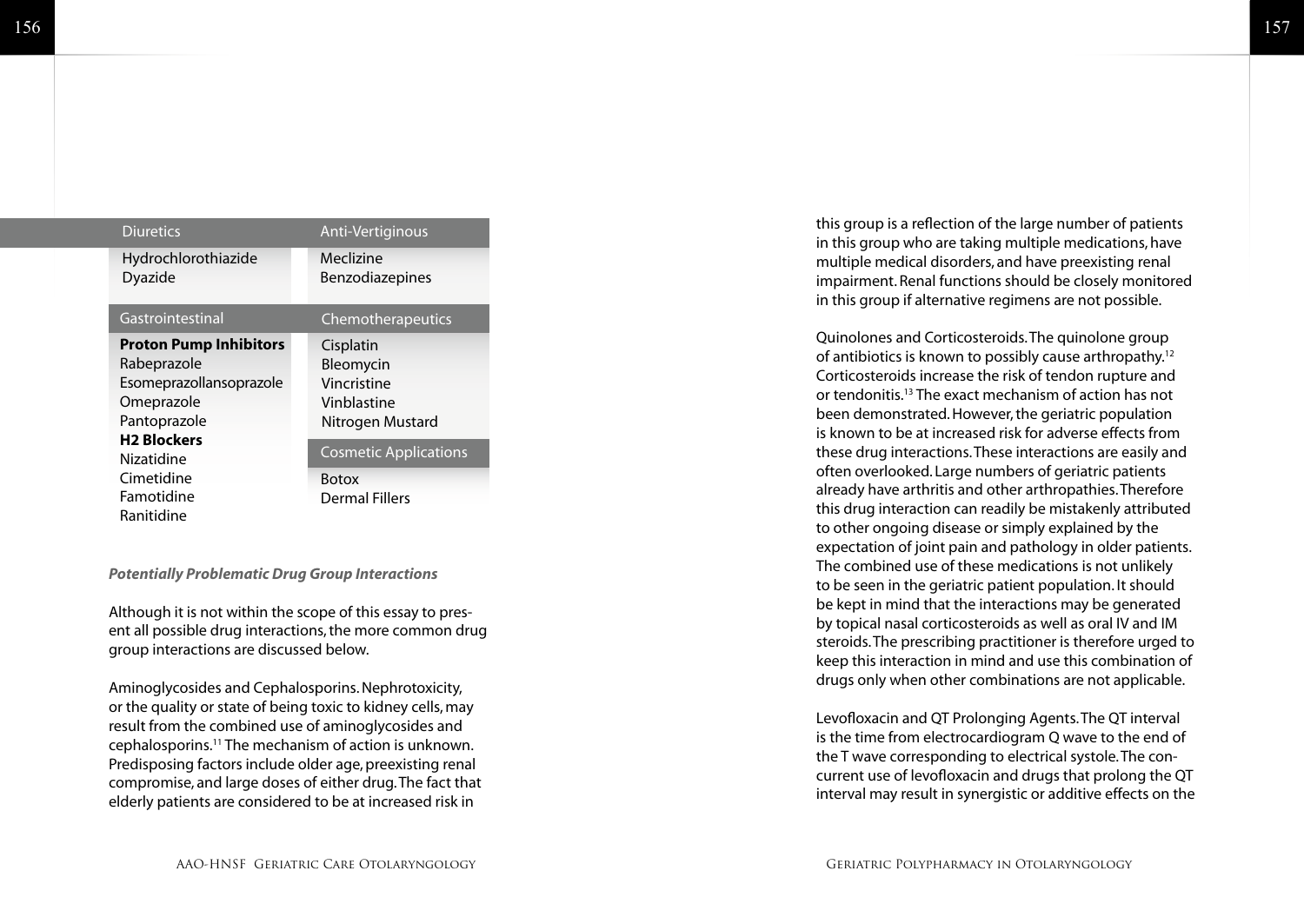| <b>Diuretics</b>              | Anti-Vertiginous             |
|-------------------------------|------------------------------|
| Hydrochlorothiazide           | Meclizine                    |
| Dyazide                       | Benzodiazepines              |
| Gastrointestinal              | Chemotherapeutics            |
| <b>Proton Pump Inhibitors</b> | Cisplatin                    |
| Rabeprazole                   | Bleomycin                    |
| Esomeprazollansoprazole       | Vincristine                  |
| Omeprazole                    | Vinblastine                  |
| Pantoprazole                  | Nitrogen Mustard             |
| <b>H2 Blockers</b>            |                              |
| Nizatidine                    | <b>Cosmetic Applications</b> |
| Cimetidine                    | <b>Botox</b>                 |
| Famotidine                    | Dermal Fillers               |
| Ranitidine                    |                              |

#### *Potentially Problematic Drug Group Interactions*

Although it is not within the scope of this essay to present all possible drug interactions, the more common drug group interactions are discussed below.

Aminoglycosides and Cephalosporins. Nephrotoxicity, or the quality or state of being toxic to kidney cells, may result from the combined use of aminoglycosides and cephalosporins.11 The mechanism of action is unknown. Predisposing factors include older age, preexisting renal compromise, and large doses of either drug. The fact that elderly patients are considered to be at increased risk in

this group is a reflection of the large number of patients in this group who are taking multiple medications, have multiple medical disorders, and have preexisting renal impairment. Renal functions should be closely monitored in this group if alternative regimens are not possible.

Quinolones and Corticosteroids. The quinolone group of antibiotics is known to possibly cause arthropathy.12 Corticosteroids increase the risk of tendon rupture and or tendonitis.13 The exact mechanism of action has not been demonstrated. However, the geriatric population is known to be at increased risk for adverse effects from these drug interactions. These interactions are easily and often overlooked. Large numbers of geriatric patients already have arthritis and other arthropathies. Therefore this drug interaction can readily be mistakenly attributed to other ongoing disease or simply explained by the expectation of joint pain and pathology in older patients. The combined use of these medications is not unlikely to be seen in the geriatric patient population. It should be kept in mind that the interactions may be generated by topical nasal corticosteroids as well as oral IV and IM steroids. The prescribing practitioner is therefore urged to keep this interaction in mind and use this combination of drugs only when other combinations are not applicable.

Levofloxacin and QT Prolonging Agents. The QT interval is the time from electrocardiogram Q wave to the end of the T wave corresponding to electrical systole. The concurrent use of levofloxacin and drugs that prolong the QT interval may result in synergistic or additive effects on the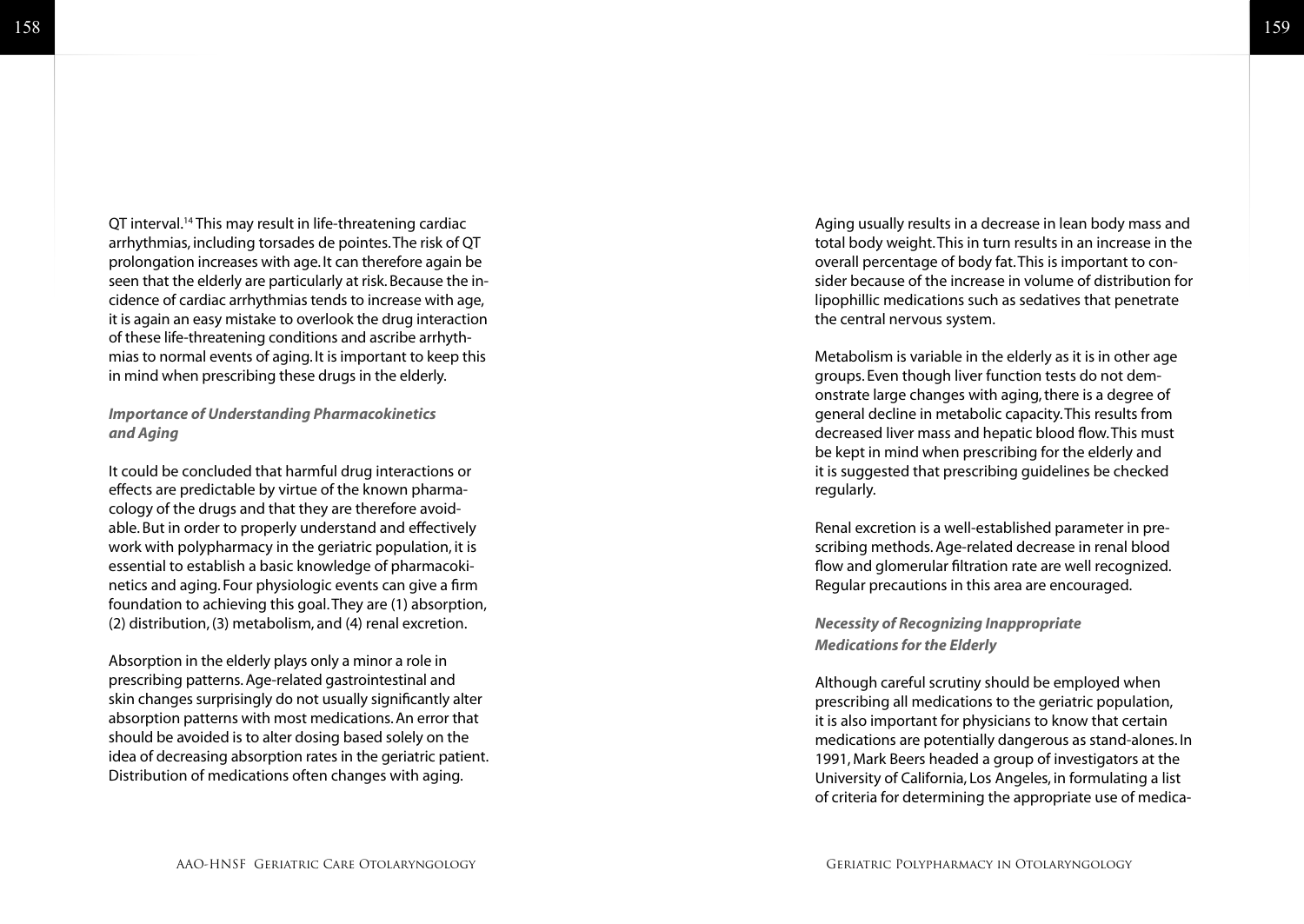QT interval.<sup>14</sup> This may result in life-threatening cardiac arrhythmias, including torsades de pointes. The risk of QT prolongation increases with age. It can therefore again be seen that the elderly are particularly at risk. Because the incidence of cardiac arrhythmias tends to increase with age, it is again an easy mistake to overlook the drug interaction of these life-threatening conditions and ascribe arrhythmias to normal events of aging. It is important to keep this in mind when prescribing these drugs in the elderly.

*Importance of Understanding Pharmacokinetics and Aging*

It could be concluded that harmful drug interactions or effects are predictable by virtue of the known pharmacology of the drugs and that they are therefore avoidable. But in order to properly understand and effectively work with polypharmacy in the geriatric population, it is essential to establish a basic knowledge of pharmacokinetics and aging. Four physiologic events can give a firm foundation to achieving this goal. They are (1) absorption, (2) distribution, (3) metabolism, and (4) renal excretion.

Absorption in the elderly plays only a minor a role in prescribing patterns. Age-related gastrointestinal and skin changes surprisingly do not usually significantly alter absorption patterns with most medications. An error that should be avoided is to alter dosing based solely on the idea of decreasing absorption rates in the geriatric patient. Distribution of medications often changes with aging.

Aging usually results in a decrease in lean body mass and total body weight. This in turn results in an increase in the overall percentage of body fat. This is important to consider because of the increase in volume of distribution for lipophillic medications such as sedatives that penetrate the central nervous system.

Metabolism is variable in the elderly as it is in other age groups. Even though liver function tests do not demonstrate large changes with aging, there is a degree of general decline in metabolic capacity. This results from decreased liver mass and hepatic blood flow. This must be kept in mind when prescribing for the elderly and it is suggested that prescribing guidelines be checked regularly.

Renal excretion is a well-established parameter in prescribing methods. Age-related decrease in renal blood flow and glomerular filtration rate are well recognized. Regular precautions in this area are encouraged.

*Necessity of Recognizing Inappropriate Medications for the Elderly*

Although careful scrutiny should be employed when prescribing all medications to the geriatric population, it is also important for physicians to know that certain medications are potentially dangerous as stand-alones. In 1991, Mark Beers headed a group of investigators at the University of California, Los Angeles, in formulating a list of criteria for determining the appropriate use of medica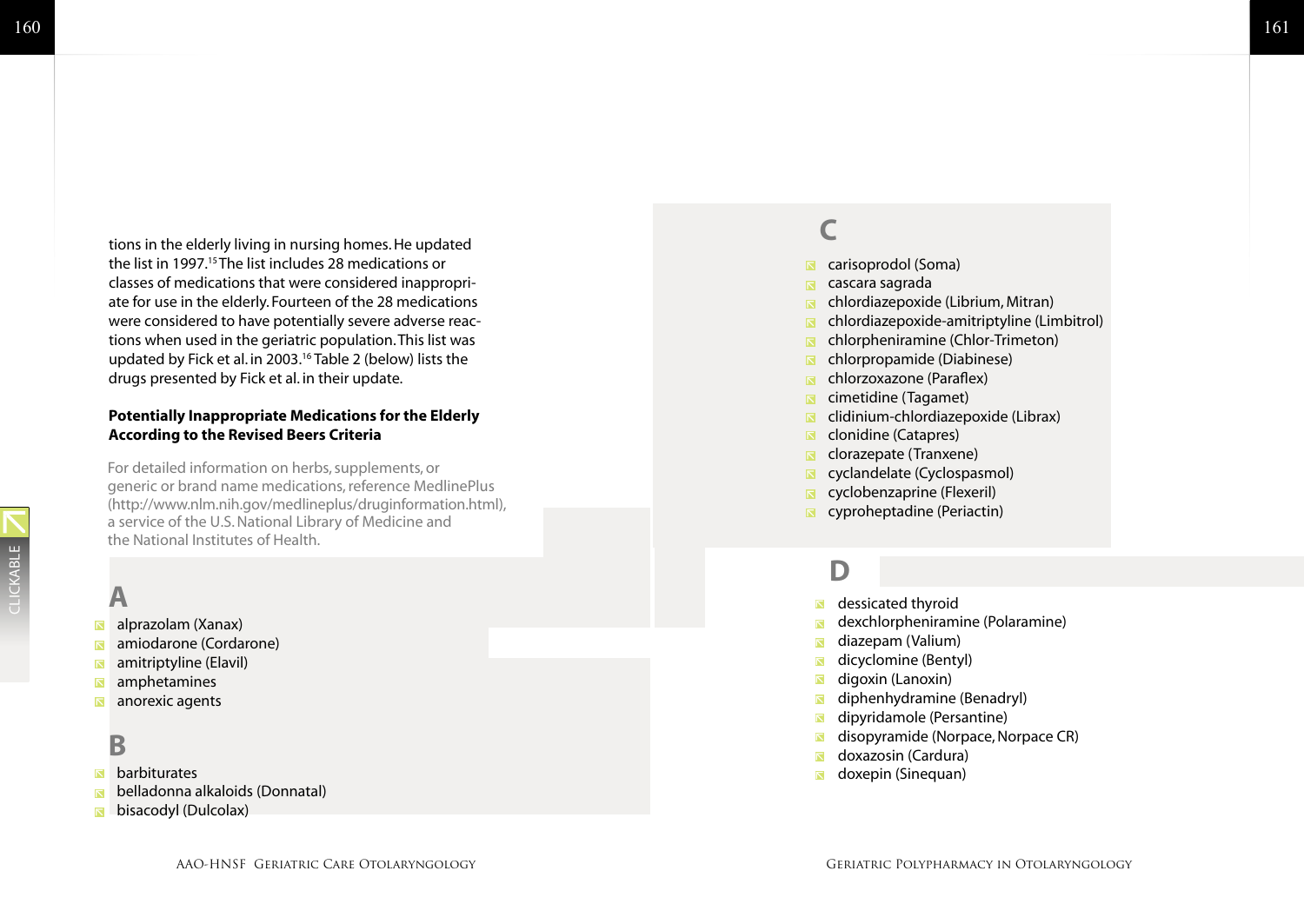tions in the elderly living in nursing homes. He updated the list in 1997.<sup>15</sup> The list includes 28 medications or classes of medications that were considered inappropri ate for use in the elderly. Fourteen of the 28 medications were considered to have potentially severe adverse reac tions when used in the geriatric population. This list was updated by Fick et al. in 2003.16 Table 2 (below) lists the drugs presented by Fick et al. in their update.

#### **Potentially Inappropriate Medications for the Elderly According to the Revised Beers Criteria**

For detailed information on herbs, supplements, or generic or brand name medications, reference MedlinePlus (http://www.nlm.nih.gov/medlineplus/druginformation.html), a service of the U.S. National Library of Medicine and the National Institutes of Health.

#### **A**

CLICKABLE

CLICKABLE

- [alprazola](http://www.nlm.nih.gov/medlineplus/druginfo/medmaster/a684001.html) m (Xanax) N
- $\overline{\mathbb{N}}$ [amiodaron](http://www.nlm.nih.gov/medlineplus/druginfo/uspdi/202029.html) e (Cordarone)
- $\overline{\mathbf{N}}$ [amitriptylin](http://www.nlm.nih.gov/medlineplus/druginfo/medmaster/a682388.html) e (Elavil)
- $\overline{\bf N}$ [amphetamine](http://www.nlm.nih.gov/medlineplus/druginfo/uspdi/202031.html) s
- $\overline{\mathbf{N}}$ [anorexic agent](http://www.nlm.nih.gov/medlineplus/druginfo/uspdi/202069.html) s

#### **B**

- $\overline{\mathbb{N}}$ [barbiturate](http://www.nlm.nih.gov/medlineplus/druginfo/uspdi/202081.html) s
- [belladonna alkaloid](http://www.nlm.nih.gov/medlineplus/druginfo/uspdi/202049.html) s (Donnatal)  $\overline{\mathbb{N}}$
- [bisacody](http://www.nlm.nih.gov/medlineplus/druginfo/medmaster/a601027.html) l (Dulcolax)  $\overline{\mathbb{N}}$

#### **C**

- [carisoprodo](http://www.nlm.nih.gov/medlineplus/druginfo/medmaster/a682578.html) l (Soma)
- [cascara sagrad](http://www.nlm.nih.gov/medlineplus/druginfo/medmaster/a601112.html) a  $\overline{\mathbf{N}}$
- Ŕ. [chlordiazepoxid](http://www.nlm.nih.gov/medlineplus/druginfo/medmaster/a682078.html) e (Librium, Mitran)
- $\blacksquare$ [chlordiazepoxide-amitriptylin](http://www.nlm.nih.gov/medlineplus/druginfo/uspdi/202129.html) e (Limbitrol)
- [chlorpheniramin](http://www.nlm.nih.gov/medlineplus/druginfo/medmaster/a682543.html) e (Chlor-Trimeton)
- [chlorpropamid](http://www.nlm.nih.gov/medlineplus/druginfo/medmaster/a682479.html) e (Diabinese)  $\overline{\mathsf{N}}$
- [chlorzoxazon](http://www.nlm.nih.gov/medlineplus/druginfo/medmaster/a682577.html) e (Paraflex)  $\overline{\mathbf{N}}$
- [cimetidin](http://www.nlm.nih.gov/medlineplus/druginfo/uspdi/202283.html) e (Tagamet)  $\blacksquare$
- [clidinium-chlordiazepoxid](http://www.nlm.nih.gov/medlineplus/druginfo/uspdi/202130.html) e (Librax)  $\blacksquare$
- $\overline{\mathbf{N}}$ [clonidin](http://www.nlm.nih.gov/medlineplus/druginfo/uspdi/202152.html) e (Catapres)
- [clorazepat](http://www.nlm.nih.gov/medlineplus/druginfo/medmaster/a682052.html) e (Tranxene)  $\blacksquare$
- [cyclandelat](http://www.nlm.nih.gov/medlineplus/druginfo/uspdi/202171.html) e (Cyclospasmol)  $\blacksquare$
- [cyclobenzaprin](http://www.nlm.nih.gov/medlineplus/druginfo/uspdi/202172.html) e (Flexeril)  $\blacksquare$
- [cyproheptadin](http://www.nlm.nih.gov/medlineplus/druginfo/medmaster/a682541.html) e (Periactin)

#### **D**

- [dessicated thyroi](http://www.nlm.nih.gov/medlineplus/druginfo/medmaster/a682475.html) d
- [dexchlorpheniramin](http://www.nlm.nih.gov/medlineplus/druginfo/uspdi/202060.html) e (Polaramine)
- [diazepa](http://www.nlm.nih.gov/medlineplus/druginfo/medmaster/a682047.html) m (Valium)
- [dicyclomin](http://www.nlm.nih.gov/medlineplus/druginfo/medmaster/a684007.html) e (Bentyl)
- [digoxi](http://www.nlm.nih.gov/medlineplus/druginfo/uspdi/202194.html) n (Lanoxin)
- [diphenhydramin](http://www.nlm.nih.gov/medlineplus/druginfo/uspdi/202060.html) e (Benadryl)
- [dipyridamol](http://www.nlm.nih.gov/medlineplus/druginfo/medmaster/a682830.html) e (Persantine)
- [disopyramid](http://www.nlm.nih.gov/medlineplus/druginfo/medmaster/a682408.html) e (Norpace, Norpace CR)
- [doxazosi](http://www.nlm.nih.gov/medlineplus/druginfo/medmaster/a693045.html) n (Cardura)
- [doxepi](http://www.nlm.nih.gov/medlineplus/druginfo/medmaster/a682390.html) n (Sinequan)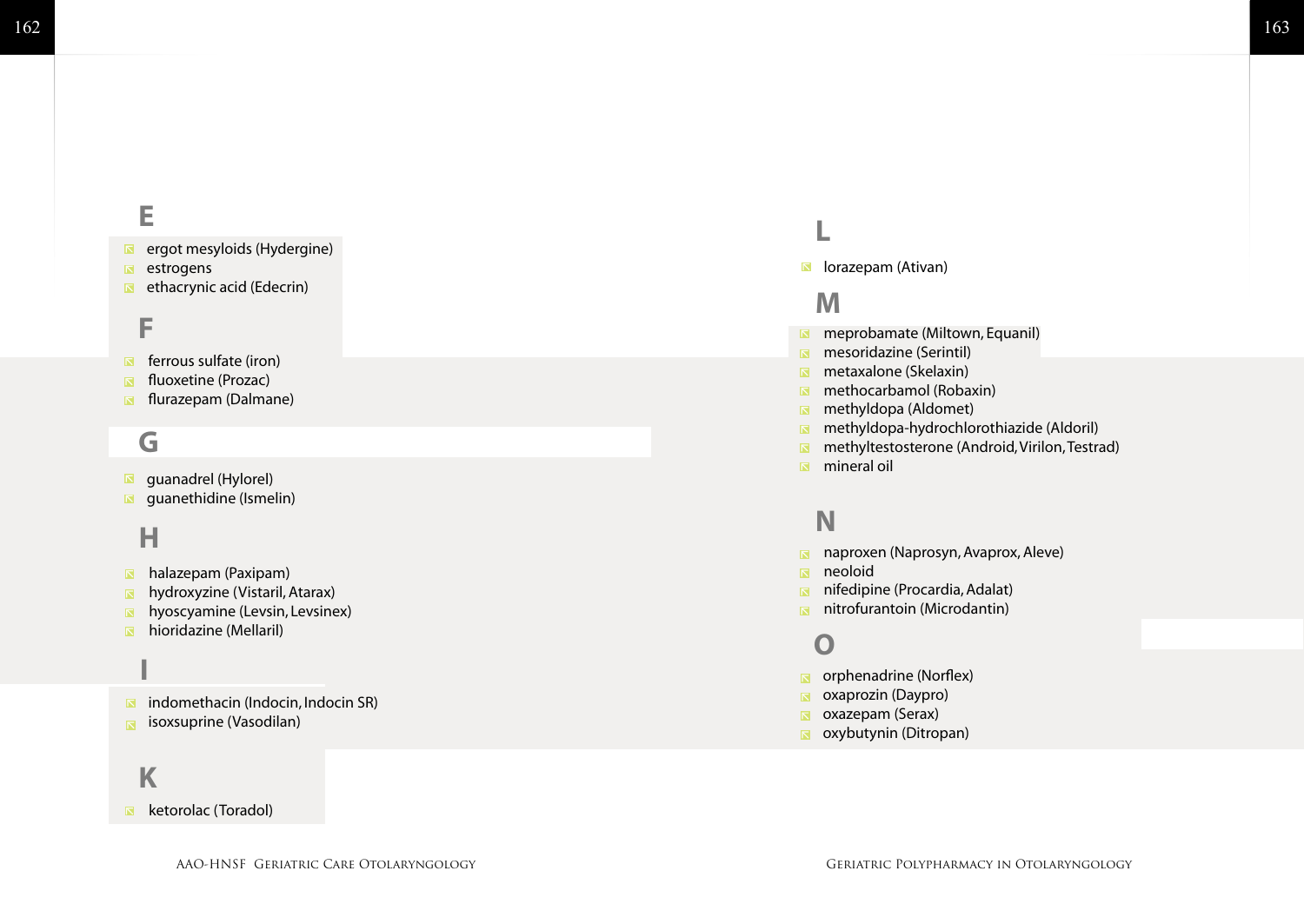#### 163

# **E**<br>ee<br>F Е

- [ergot mesyloid](http://www.nlm.nih.gov/medlineplus/druginfo/uspdi/202215.html) s (Hydergine)
- [estrogen](http://www.nlm.nih.gov/medlineplus/druginfo/medmaster/a682922.html) s
- [ethacrynic aci](http://www.nlm.nih.gov/medlineplus/druginfo/medmaster/a682857.html) d (Edecrin)

#### F

- [ferrous sulfat](http://www.nlm.nih.gov/medlineplus/druginfo/medmaster/a682778.html) e (iron)
- [fluoxetin](http://www.nlm.nih.gov/medlineplus/druginfo/medmaster/a689006.html) e (Prozac)
- [flurazepa](http://www.nlm.nih.gov/medlineplus/druginfo/medmaster/a682051.html) m (Dalmane)

#### **G**

- [guanadre](http://www.nlm.nih.gov/medlineplus/druginfo/uspdi/202272.html) l (Hylorel)
- [guanethidin](http://www.nlm.nih.gov/medlineplus/druginfo/medmaster/a682264.html) e (Ismelin)

#### **H**

- [halazepa](http://www.nlm.nih.gov/medlineplus/druginfo/uspdi/202084.html) m (Paxipam)
- [hydroxyzin](http://www.nlm.nih.gov/medlineplus/druginfo/medmaster/a682866.html) e (Vistaril, Atarax)
- [hyoscyamin](http://www.nlm.nih.gov/medlineplus/druginfo/medmaster/a684010.html) e (Levsin, Levsinex)
- [hioridazin](http://www.nlm.nih.gov/medlineplus/druginfo/medmaster/a682119.html) e (Mellaril)

#### [indomethaci](http://www.nlm.nih.gov/medlineplus/druginfo/medmaster/a681027.html) n (Indocin, Indocin SR) **I**

 $\overline{\mathbf{N}}$ [isoxsuprin](http://www.nlm.nih.gov/medlineplus/druginfo/uspdi/202310.html) e (Vasodilan)

#### **K**

#### $\blacksquare$ [ketorola](http://www.nlm.nih.gov/medlineplus/druginfo/uspdi/202318.html) c (Toradol)

[lorazepa](http://www.nlm.nih.gov/medlineplus/druginfo/medmaster/a682053.html) m (Ativan)

#### **M**

- [meprobamat](http://www.nlm.nih.gov/medlineplus/druginfo/medmaster/a682077.html) e (Miltown, Equanil)
- [mesoridazin](http://www.nlm.nih.gov/medlineplus/druginfo/uspdi/202457.html) e (Serintil)
- [metaxalon](http://www.nlm.nih.gov/medlineplus/druginfo/medmaster/a682010.html) e (Skelaxin)
- [methocarbamo](http://www.nlm.nih.gov/medlineplus/druginfo/uspdi/202523.html) l (Robaxin)
- [methyldop](http://www.nlm.nih.gov/medlineplus/druginfo/medmaster/a682242.html) a (Aldomet)
- [methyldopa-hydrochlorothiazid](http://www.nlm.nih.gov/medlineplus/druginfo/medmaster/a601076.html) e (Aldoril)
- **Laman (Expredice Miltown, Equantil)**<br>
meprobamate (Miltown, Equantil)<br>
metaxalone (Skelaxin)<br>
methocarbamol (Robaxin)<br>
methyldopa (Aldonet)<br>
methyldopa (Aldonet)<br>
methyldopa -hydrochlorothiazide (Aldoril)<br>
methyltestoster [methyltestosteron](http://www.nlm.nih.gov/medlineplus/druginfo/uspdi/202036.html) e (Android, Virilon, Testrad)
- [mineral oi](http://www.nlm.nih.gov/medlineplus/druginfo/uspdi/202319.html) l

# N<sub>na</sub><br>
na
ni<br>
O

- [naproxe](http://www.nlm.nih.gov/medlineplus/druginfo/medmaster/a681029.html) n (Naprosyn, Avaprox, Aleve)
- n[eoloi](http://www.nlm.nih.gov/medlineplus/druginfo/uspdi/202319.html) d
- [nifedipin](http://www.nlm.nih.gov/medlineplus/druginfo/medmaster/a684028.html) e (Procardia, Adalat)
- [nitrofurantoi](http://www.nlm.nih.gov/medlineplus/druginfo/medmaster/a682291.html) n (Microdantin)

- [orphenadrin](http://www.nlm.nih.gov/medlineplus/druginfo/medmaster/a682291.html) e (Norflex)
- [oxaprozi](http://www.nlm.nih.gov/medlineplus/druginfo/medmaster/a693002.html) n (Daypro)
- [oxazepa](http://www.nlm.nih.gov/medlineplus/druginfo/medmaster/a682050.html) m (Serax)
- [oxybutyni](http://www.nlm.nih.gov/medlineplus/druginfo/medmaster/a682141.html) n (Ditropan)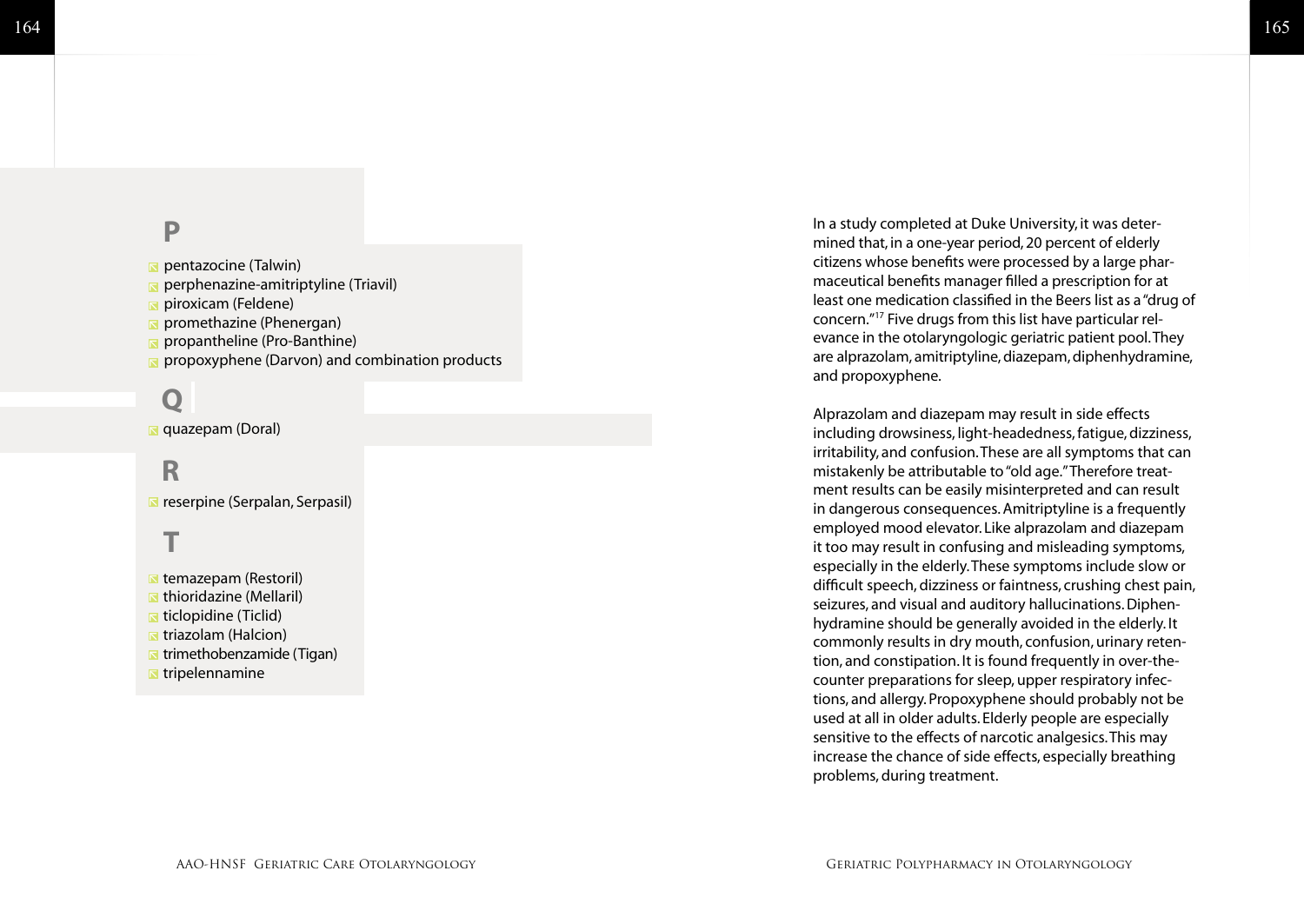### P

- [pentazocin](http://www.nlm.nih.gov/medlineplus/druginfo/uspdi/202390.html) e (Talwin)
- [perphenazine-amitriptylin](http://www.nlm.nih.gov/medlineplus/druginfo/uspdi/202453.html) e (Triavil)
- [piroxica](http://www.nlm.nih.gov/medlineplus/druginfo/medmaster/a684045.html) m (Feldene)
- [promethazin](http://www.nlm.nih.gov/medlineplus/druginfo/medmaster/a682284.html) e (Phenergan)
- [propanthelin](http://www.nlm.nih.gov/medlineplus/druginfo/medmaster/a684020.html) e (Pro-Banthine)
- [propoxyphen](http://www.nlm.nih.gov/medlineplus/druginfo/uspdi/202390.html) e (Darvon) and combination products

# **PR**

[quazepam \(Doral\)](http://www.nlm.nih.gov/medlineplus/druginfo/uspdi/202084.html) **[Q](http://www.nlm.nih.gov/medlineplus/druginfo/uspdi/202084.html)**

## R

[reserpine \(Serpalan, Serpasil](http://www.nlm.nih.gov/medlineplus/druginfo/medmaster/a601107.html) )

- **R** temazepam (Restoril) **R** [thioridazine \(Mellaril\)](http://www.nlm.nih.gov/medhttp://www.nlm.nih.gov/medlineplus/druginfo/medmaster/a682119.html) [ticlopidine \(Ticlid\)](http://www.nlm.nih.gov/medlineplus/druginfo/medmaster/a695036.html)  **[triazolam \(Halcion\)](http://www.nlm.nih.gov/medlineplus/druginfo/medmaster/a684004.html) [trimethobenzamide \(Tigan\)](http://www.nlm.nih.gov/medlineplus/druginfo/medmaster/a682693.html) T**<br>temazepam (Re<br>thioridazine (Mi<br>ticlopidine (Ticl<br>trimethobenzan<br>tripelennamine
- 

In a study completed at Duke University, it was deter mined that, in a one-year period, 20 percent of elderly citizens whose benefits were processed by a large phar maceutical benefits manager filled a prescription for at least one medication classified in the Beers list as a "drug of concern."17 Five drugs from this list have particular rel evance in the otolaryngologic geriatric patient pool. They are alprazolam, amitriptyline, diazepam, diphenhydramine, and propoxyphene.

Alprazolam and diazepam may result in side effects including drowsiness, light-headedness, fatigue, dizziness, irritability, and confusion. These are all symptoms that can mistakenly be attributable to "old age." Therefore treat ment results can be easily misinterpreted and can result in dangerous consequences. Amitriptyline is a frequently employed mood elevator. Like alprazolam and diazepam it too may result in confusing and misleading symptoms, especially in the elderly. These symptoms include slow or difficult speech, dizziness or faintness, crushing chest pain, seizures, and visual and auditory hallucinations. Diphen hydramine should be generally avoided in the elderly. It commonly results in dry mouth, confusion, urinary reten tion, and constipation. It is found frequently in over-thecounter preparations for sleep, upper respiratory infections, and allergy. Propoxyphene should probably not be used at all in older adults. Elderly people are especially sensitive to the effects of narcotic analgesics. This may increase the chance of side effects, especially breathing problems, during treatment.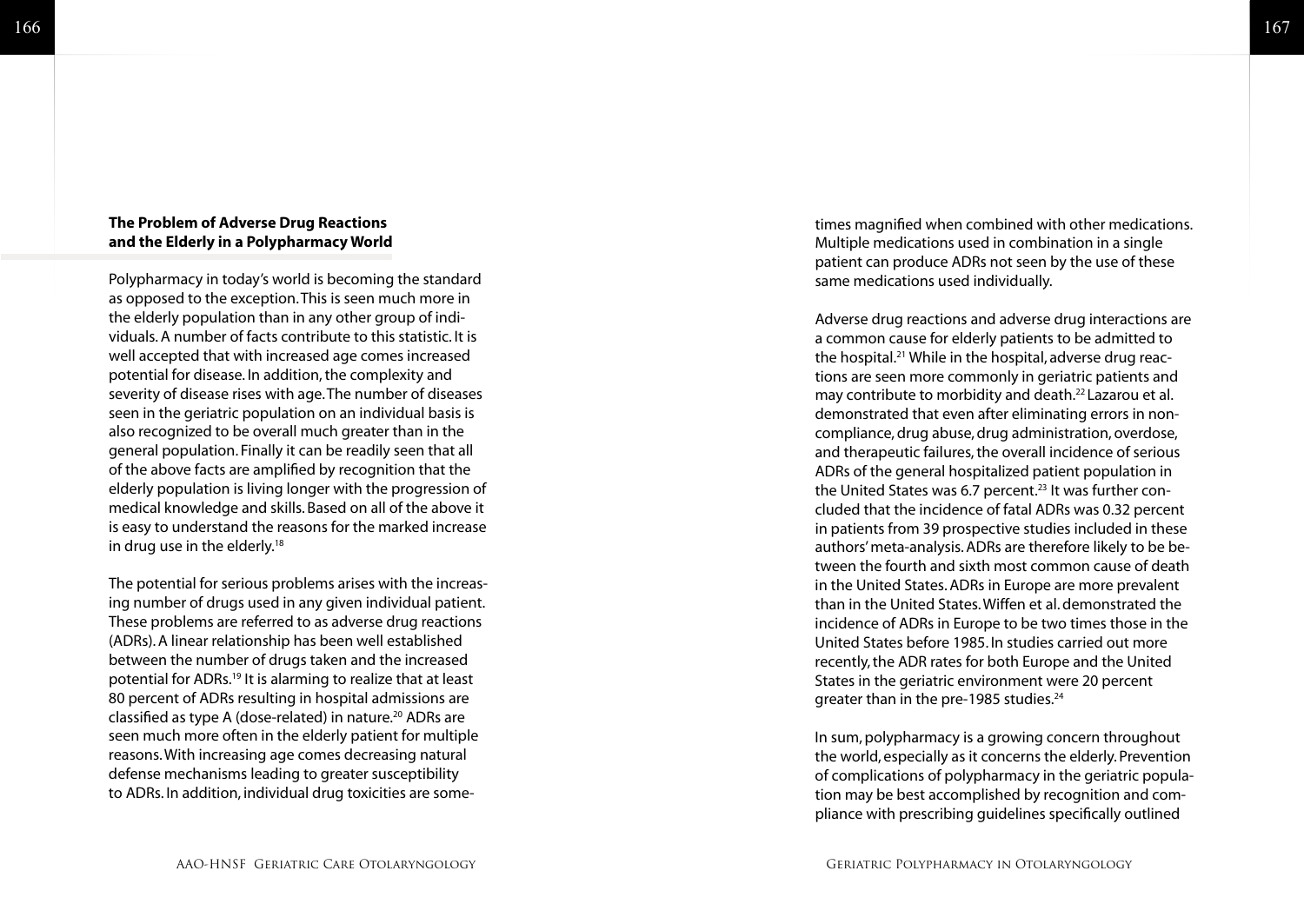#### **The Problem of Adverse Drug Reactions and the Elderly in a Polypharmacy World**

Polypharmacy in today's world is becoming the standard as opposed to the exception. This is seen much more in the elderly population than in any other group of indi viduals. A number of facts contribute to this statistic. It is well accepted that with increased age comes increased potential for disease. In addition, the complexity and severity of disease rises with age. The number of diseases seen in the geriatric population on an individual basis is also recognized to be overall much greater than in the general population. Finally it can be readily seen that all of the above facts are amplified by recognition that the elderly population is living longer with the progression of medical knowledge and skills. Based on all of the above it is easy to understand the reasons for the marked increase in drug use in the elderly.<sup>18</sup>

The potential for serious problems arises with the increas ing number of drugs used in any given individual patient. These problems are referred to as adverse drug reactions (ADRs). A linear relationship has been well established between the number of drugs taken and the increased potential for ADRs.19 It is alarming to realize that at least 80 percent of ADRs resulting in hospital admissions are classified as type A (dose-related) in nature.<sup>20</sup> ADRs are seen much more often in the elderly patient for multiple reasons. With increasing age comes decreasing natural defense mechanisms leading to greater susceptibility to ADRs. In addition, individual drug toxicities are some -

times magnified when combined with other medications. Multiple medications used in combination in a single patient can produce ADRs not seen by the use of these same medications used individually.

Adverse drug reactions and adverse drug interactions are a common cause for elderly patients to be admitted to the hospital.21 While in the hospital, adverse drug reac tions are seen more commonly in geriatric patients and may contribute to morbidity and death.22 Lazarou et al. demonstrated that even after eliminating errors in non compliance, drug abuse, drug administration, overdose, and therapeutic failures, the overall incidence of serious ADRs of the general hospitalized patient population in the United States was 6.7 percent.<sup>23</sup> It was further concluded that the incidence of fatal ADRs was 0.32 percent in patients from 39 prospective studies included in these authors' meta-analysis. ADRs are therefore likely to be be tween the fourth and sixth most common cause of death in the United States. ADRs in Europe are more prevalent than in the United States. Wiffen et al. demonstrated the incidence of ADRs in Europe to be two times those in the United States before 1985. In studies carried out more recently, the ADR rates for both Europe and the United States in the geriatric environment were 20 percent greater than in the pre-1985 studies.<sup>24</sup>

In sum, polypharmacy is a growing concern throughout the world, especially as it concerns the elderly. Prevention of complications of polypharmacy in the geriatric popula tion may be best accomplished by recognition and com pliance with prescribing guidelines specifically outlined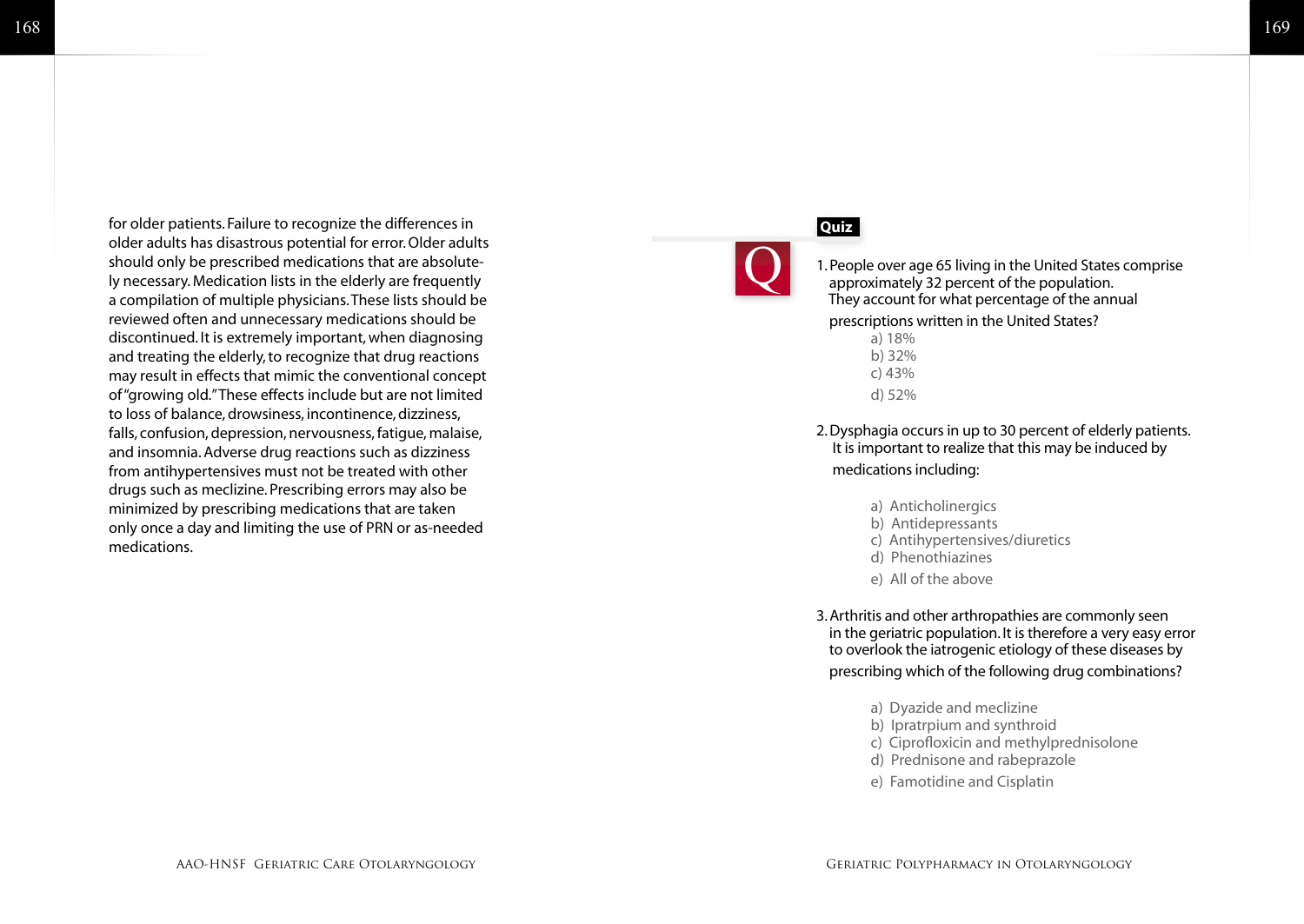for older patients. Failure to recognize the differences in older adults has disastrous potential for error. Older adults should only be prescribed medications that are absolutely necessary. Medication lists in the elderly are frequently a compilation of multiple physicians. These lists should be reviewed often and unnecessary medications should be discontinued. It is extremely important, when diagnosing and treating the elderly, to recognize that drug reactions may result in effects that mimic the conventional concept of "growing old." These effects include but are not limited to loss of balance, drowsiness, incontinence, dizziness, falls, confusion, depression, nervousness, fatigue, malaise, and insomnia. Adverse drug reactions such as dizziness from antihypertensives must not be treated with other drugs such as meclizine. Prescribing errors may also be minimized by prescribing medications that are taken only once a day and limiting the use of PRN or as-needed medications.

#### **Quiz**



1. People over age 65 living in the United States comprise approximately 32 percent of the population. They account for what percentage of the annual

#### prescriptions written in the United States?

 a) 18% b) 32% c) 43% d) 52%

#### 2. Dysphagia occurs in up to 30 percent of elderly patients. It is important to realize that this may be induced by medications including:

- a) Anticholinergics
- b) Antidepressants
- c) Antihypertensives/diuretics
- d) Phenothiazines
- e) All of the above

3. Arthritis and other arthropathies are commonly seen in the geriatric population. It is therefore a very easy error to overlook the iatrogenic etiology of these diseases by prescribing which of the following drug combinations?

- a) Dyazide and meclizine
- b) Ipratrpium and synthroid
- c) Ciprofloxicin and methylprednisolone
- d) Prednisone and rabeprazole
- e) Famotidine and Cisplatin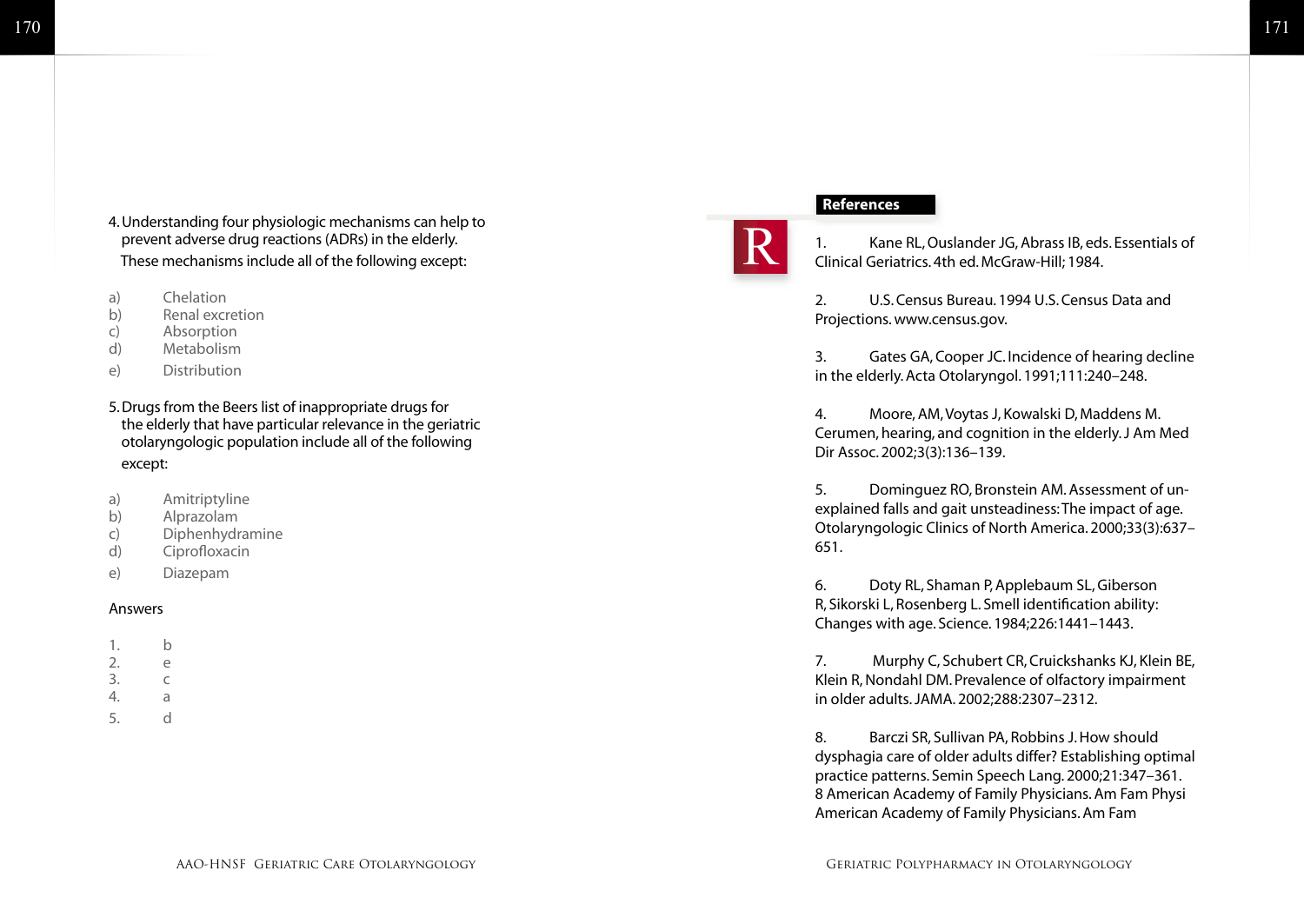- 4. Understanding four physiologic mechanisms can help to prevent adverse drug reactions (ADRs) in the elderly. These mechanisms include all of the following except:
- a) Chelation
- b) Renal excretion
- c) Absorption
- d) Metabolism
- e) Distribution
- 5. Drugs from the Beers list of inappropriate drugs for the elderly that have particular relevance in the geriatric otolaryngologic population include all of the following except:
- a) Amitriptyline
- b) Alprazolam
- c) Diphenhydramine
- d) Ciprofloxacin
- e) Diazepam

#### Answers

- 1. b 2. e 3. c 4. a
- 5. d

#### **References**



1. Kane RL, Ouslander JG, Abrass IB, eds. Essentials of Clinical Geriatrics. 4th ed. McGraw-Hill; 1984.

2. U.S. Census Bureau. 1994 U.S. Census Data and Projections. www.census.gov.

3. Gates GA, Cooper JC. Incidence of hearing decline in the elderly. Acta Otolaryngol. 1991;111:240–248.

4. Moore, AM, Voytas J, Kowalski D, Maddens M. Cerumen, hearing, and cognition in the elderly. J Am Med Dir Assoc. 2002;3(3):136–139.

5. Dominguez RO, Bronstein AM. Assessment of unexplained falls and gait unsteadiness: The impact of age. Otolaryngologic Clinics of North America. 2000;33(3):637– 651.

6. Doty RL, Shaman P, Applebaum SL, Giberson R, Sikorski L, Rosenberg L. Smell identification ability: Changes with age. Science. 1984;226:1441–1443.

7. Murphy C, Schubert CR, Cruickshanks KJ, Klein BE, Klein R, Nondahl DM. Prevalence of olfactory impairment in older adults. JAMA. 2002;288:2307–2312.

8. Barczi SR, Sullivan PA, Robbins J. How should dysphagia care of older adults differ? Establishing optimal practice patterns. Semin Speech Lang. 2000;21:347–361. 8 American Academy of Family Physicians. Am Fam Physi American Academy of Family Physicians. Am Fam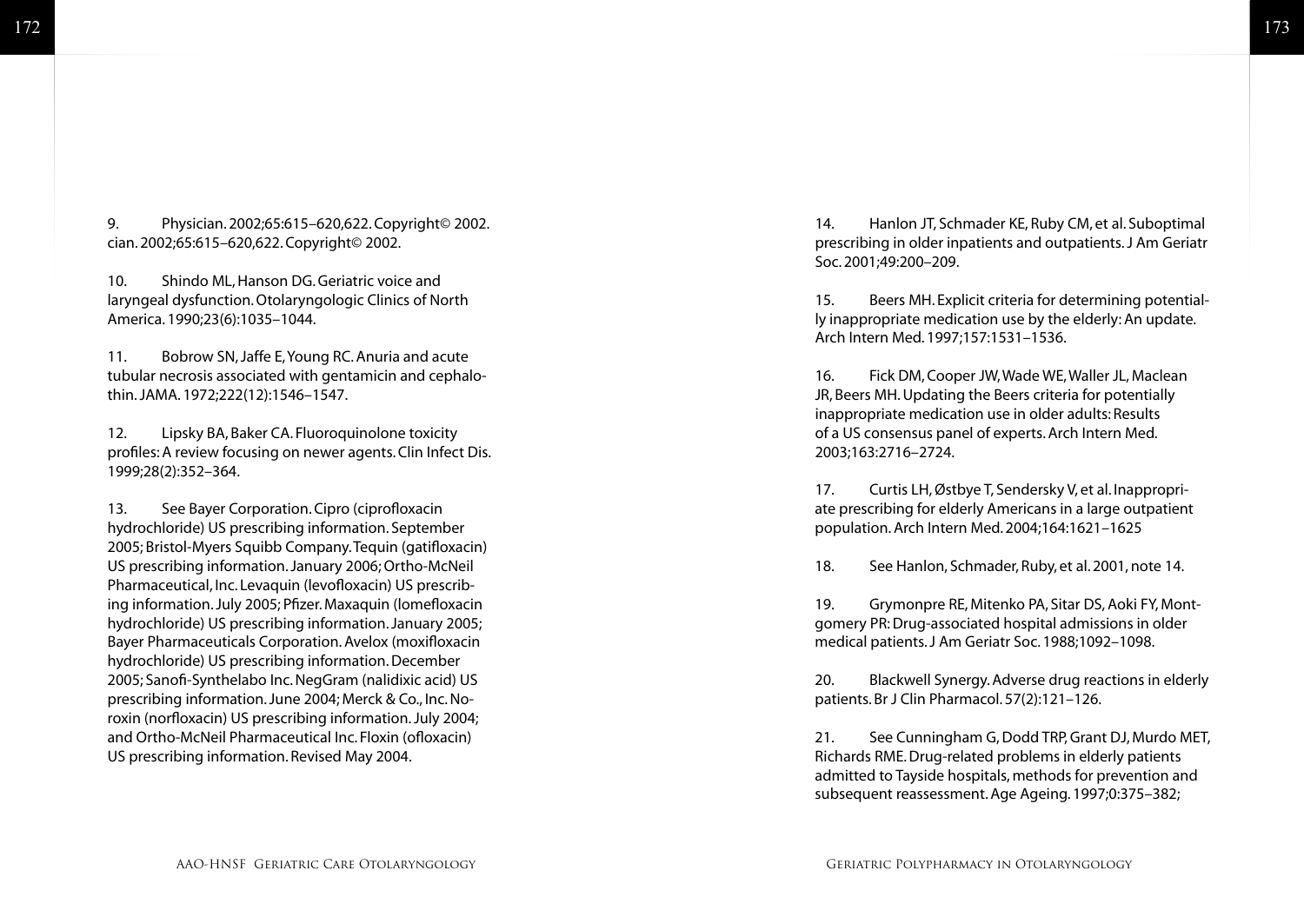9. Physician. 2002;65:615–620,622. Copyright© 2002. cian. 2002;65:615–620,622. Copyright© 2002.

10. Shindo ML, Hanson DG. Geriatric voice and laryngeal dysfunction. Otolaryngologic Clinics of North America. 1990;23(6):1035–1044.

11. Bobrow SN, Jaffe E, Young RC. Anuria and acute tubular necrosis associated with gentamicin and cephalothin. JAMA. 1972;222(12):1546–1547.

12. Lipsky BA, Baker CA. Fluoroquinolone toxicity profiles: A review focusing on newer agents. Clin Infect Dis. 1999;28(2):352–364.

13. See Bayer Corporation. Cipro (ciprofloxacin hydrochloride) US prescribing information. September 2005; Bristol-Myers Squibb Company. Tequin (gatifloxacin) US prescribing information. January 2006; Ortho-McNeil Pharmaceutical, Inc. Levaquin (levofloxacin) US prescribing information. July 2005; Pfizer. Maxaquin (lomefloxacin hydrochloride) US prescribing information. January 2005; Bayer Pharmaceuticals Corporation. Avelox (moxifloxacin hydrochloride) US prescribing information. December 2005; Sanofi-Synthelabo Inc. NegGram (nalidixic acid) US prescribing information. June 2004; Merck & Co., Inc. Noroxin (norfloxacin) US prescribing information. July 2004; and Ortho-McNeil Pharmaceutical Inc. Floxin (ofloxacin) US prescribing information. Revised May 2004.

14. Hanlon JT, Schmader KE, Ruby CM, et al. Suboptimal prescribing in older inpatients and outpatients. J Am Geriatr Soc. 2001;49:200–209.

15. Beers MH. Explicit criteria for determining potentially inappropriate medication use by the elderly: An update. Arch Intern Med. 1997;157:1531–1536.

16. Fick DM, Cooper JW, Wade WE, Waller JL, Maclean JR, Beers MH. Updating the Beers criteria for potentially inappropriate medication use in older adults: Results of a US consensus panel of experts. Arch Intern Med. 2003;163:2716–2724.

17. Curtis LH, Østbye T, Sendersky V, et al. Inappropriate prescribing for elderly Americans in a large outpatient population. Arch Intern Med. 2004;164:1621–1625

18. See Hanlon, Schmader, Ruby, et al. 2001, note 14.

19. Grymonpre RE, Mitenko PA, Sitar DS, Aoki FY, Montgomery PR: Drug-associated hospital admissions in older medical patients. J Am Geriatr Soc. 1988;1092–1098.

20. Blackwell Synergy. Adverse drug reactions in elderly patients. Br J Clin Pharmacol. 57(2):121–126.

21. See Cunningham G, Dodd TRP, Grant DJ, Murdo MET, Richards RME. Drug-related problems in elderly patients admitted to Tayside hospitals, methods for prevention and subsequent reassessment. Age Ageing. 1997;0:375–382;